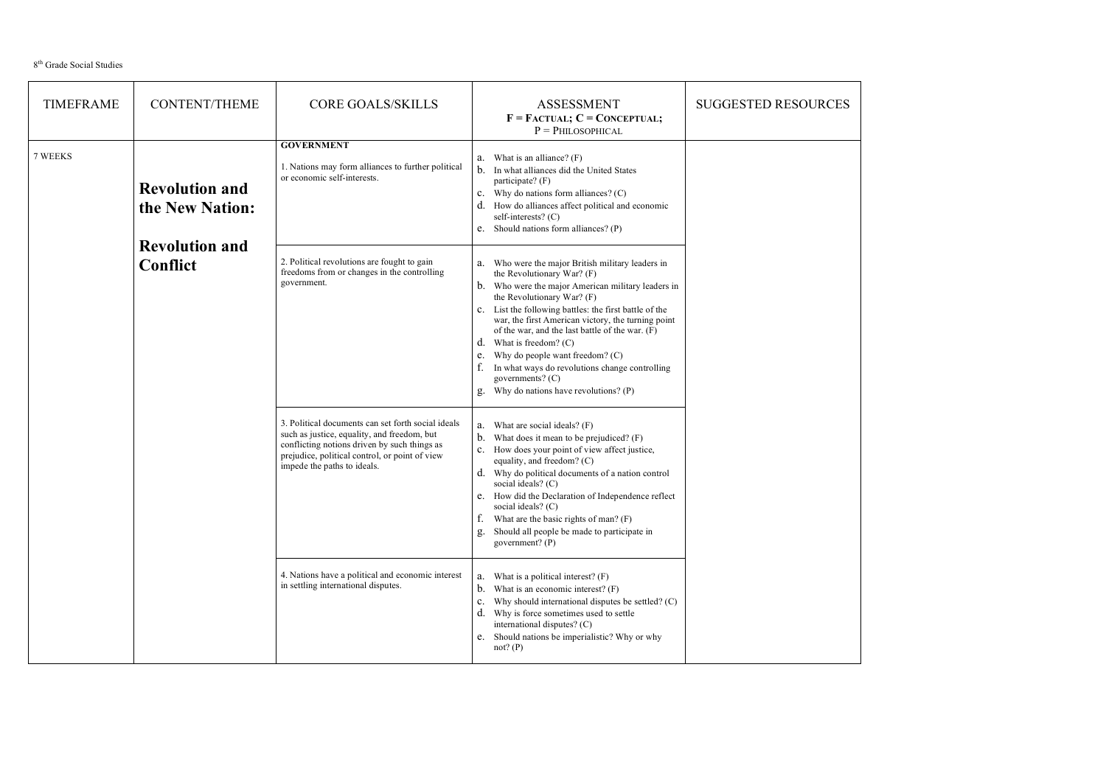

## 8<sup>th</sup> Grade Social Studies

| <b>TIMEFRAME</b> | <b>CONTENT/THEME</b>                     | <b>CORE GOALS/SKILLS</b>                                                                                                                                                                                                           | <b>ASSESSMENT</b><br>$F =$ FACTUAL; $C =$ CONCEPTUAL;<br>$P = PHILOSOPHICAL$                                                                                                                                                                                                                                                                                                                                                                                                                                                       | <b>SUGGESTED RESOURC</b> |
|------------------|------------------------------------------|------------------------------------------------------------------------------------------------------------------------------------------------------------------------------------------------------------------------------------|------------------------------------------------------------------------------------------------------------------------------------------------------------------------------------------------------------------------------------------------------------------------------------------------------------------------------------------------------------------------------------------------------------------------------------------------------------------------------------------------------------------------------------|--------------------------|
| 7 WEEKS          | <b>Revolution and</b><br>the New Nation: | <b>GOVERNMENT</b><br>1. Nations may form alliances to further political<br>or economic self-interests.                                                                                                                             | a. What is an alliance? $(F)$<br>b. In what alliances did the United States<br>participate? (F)<br>c. Why do nations form alliances? $(C)$<br>d. How do alliances affect political and economic<br>self-interests? (C)<br>e. Should nations form alliances? (P)                                                                                                                                                                                                                                                                    |                          |
|                  | <b>Revolution and</b><br><b>Conflict</b> | 2. Political revolutions are fought to gain<br>freedoms from or changes in the controlling<br>government.                                                                                                                          | a. Who were the major British military leaders in<br>the Revolutionary War? (F)<br>b. Who were the major American military leaders in<br>the Revolutionary War? (F)<br>c. List the following battles: the first battle of the<br>war, the first American victory, the turning point<br>of the war, and the last battle of the war. (F)<br>d. What is freedom? $(C)$<br>e. Why do people want freedom? $(C)$<br>f. In what ways do revolutions change controlling<br>governments? (C)<br>Why do nations have revolutions? (P)<br>g. |                          |
|                  |                                          | 3. Political documents can set forth social ideals<br>such as justice, equality, and freedom, but<br>conflicting notions driven by such things as<br>prejudice, political control, or point of view<br>impede the paths to ideals. | a. What are social ideals? (F)<br>b.<br>What does it mean to be prejudiced? (F)<br>c. How does your point of view affect justice,<br>equality, and freedom? (C)<br>d. Why do political documents of a nation control<br>social ideals? (C)<br>e. How did the Declaration of Independence reflect<br>social ideals? (C)<br>What are the basic rights of man? (F)<br>Should all people be made to participate in<br>g.<br>government? $(P)$                                                                                          |                          |
|                  |                                          | 4. Nations have a political and economic interest<br>in settling international disputes.                                                                                                                                           | a. What is a political interest? $(F)$<br>What is an economic interest? $(F)$<br>b.<br>c. Why should international disputes be settled? (C)<br>d. Why is force sometimes used to settle<br>international disputes? (C)<br>e. Should nations be imperialistic? Why or why<br>not? (P)                                                                                                                                                                                                                                               |                          |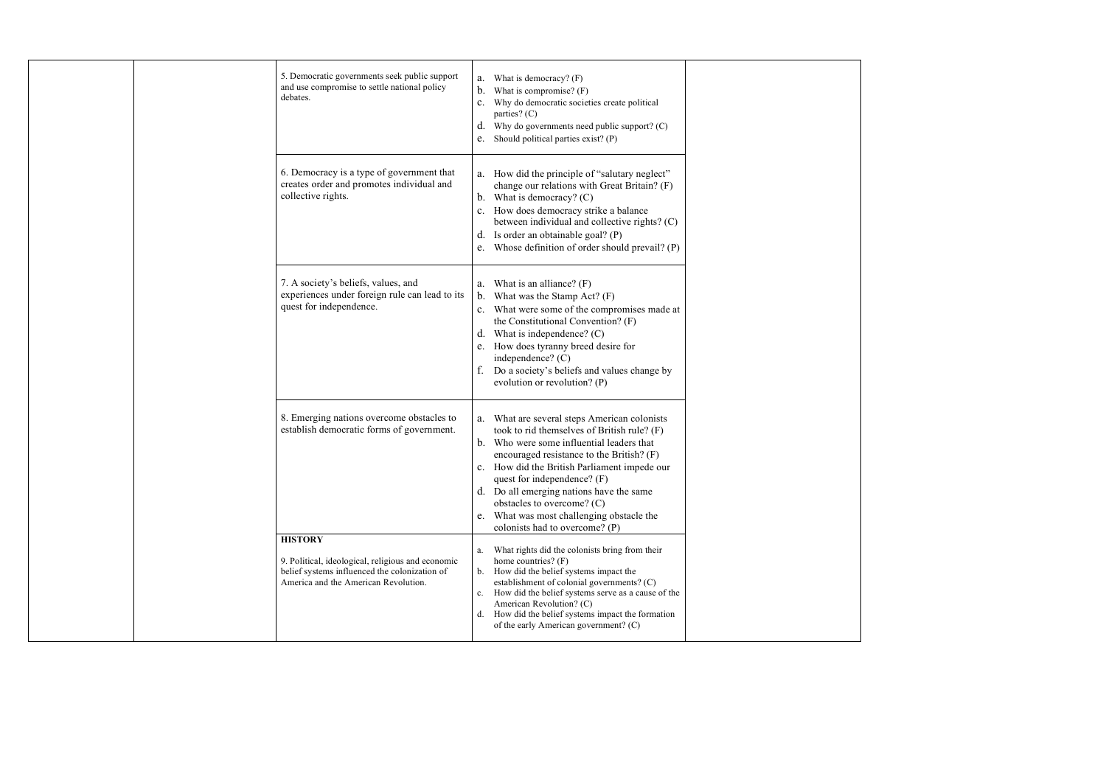|  | 5. Democratic governments seek public support<br>and use compromise to settle national policy<br>debates.                                                    | What is democracy? (F)<br>a.<br>$\mathbf{b}$ .<br>What is compromise? $(F)$<br>Why do democratic societies create political<br>c.<br>parties? $(C)$<br>Why do governments need public support? (C)<br>d.<br>Should political parties exist? (P)<br>e.                                                                                                                                                                                                      |  |
|--|--------------------------------------------------------------------------------------------------------------------------------------------------------------|------------------------------------------------------------------------------------------------------------------------------------------------------------------------------------------------------------------------------------------------------------------------------------------------------------------------------------------------------------------------------------------------------------------------------------------------------------|--|
|  | 6. Democracy is a type of government that<br>creates order and promotes individual and<br>collective rights.                                                 | How did the principle of "salutary neglect"<br>a.<br>change our relations with Great Britain? (F)<br>What is democracy? $(C)$<br>$\mathbf{b}$ .<br>How does democracy strike a balance<br>c.<br>between individual and collective rights? (C)<br>Is order an obtainable goal? (P)<br>d.<br>Whose definition of order should prevail? (P)<br>e.                                                                                                             |  |
|  | 7. A society's beliefs, values, and<br>experiences under foreign rule can lead to its<br>quest for independence.                                             | What is an alliance? $(F)$<br>a.<br>What was the Stamp Act? $(F)$<br>b.<br>What were some of the compromises made at<br>$c_{\cdot}$<br>the Constitutional Convention? (F)<br>What is independence? $(C)$<br>$d_{\cdot}$<br>How does tyranny breed desire for<br>e.<br>independence? $(C)$<br>Do a society's beliefs and values change by<br>evolution or revolution? (P)                                                                                   |  |
|  | 8. Emerging nations overcome obstacles to<br>establish democratic forms of government.                                                                       | What are several steps American colonists<br>a.<br>took to rid themselves of British rule? (F)<br>Who were some influential leaders that<br>$b_{-}$<br>encouraged resistance to the British? (F)<br>How did the British Parliament impede our<br>c.<br>quest for independence? (F)<br>Do all emerging nations have the same<br>$d_{\cdot}$<br>obstacles to overcome? (C)<br>What was most challenging obstacle the<br>e.<br>colonists had to overcome? (P) |  |
|  | <b>HISTORY</b><br>9. Political, ideological, religious and economic<br>belief systems influenced the colonization of<br>America and the American Revolution. | What rights did the colonists bring from their<br>a.<br>home countries? (F)<br>How did the belief systems impact the<br>b.<br>establishment of colonial governments? (C)<br>How did the belief systems serve as a cause of the<br>$\mathbf{c}$ .<br>American Revolution? (C)<br>How did the belief systems impact the formation<br>d.<br>of the early American government? (C)                                                                             |  |

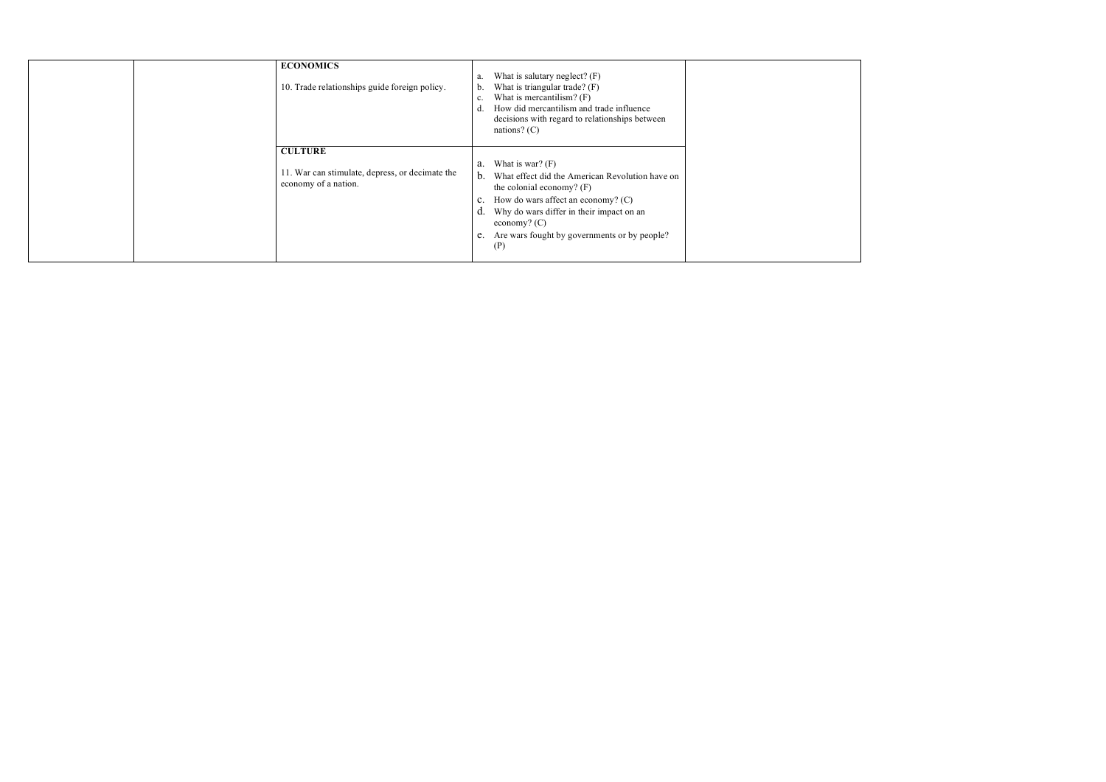| <b>ECONOMICS</b><br>10. Trade relationships guide foreign policy.                         | What is salutary neglect? $(F)$<br>What is triangular trade? (F)<br>$b_{\cdot}$<br>What is mercantilism? $(F)$<br>$\mathbf{c}$ .<br>How did mercantilism and trade influence<br>decisions with regard to relationships between<br>nations? $(C)$                                                            |
|-------------------------------------------------------------------------------------------|-------------------------------------------------------------------------------------------------------------------------------------------------------------------------------------------------------------------------------------------------------------------------------------------------------------|
| <b>CULTURE</b><br>11. War can stimulate, depress, or decimate the<br>economy of a nation. | What is war? $(F)$<br>a.<br>What effect did the American Revolution have on<br>b.<br>the colonial economy? $(F)$<br>How do wars affect an economy? $(C)$<br>$\mathbf{c}$ .<br>Why do wars differ in their impact on an<br>d.<br>economy? $(C)$<br>Are wars fought by governments or by people?<br>e.<br>(P) |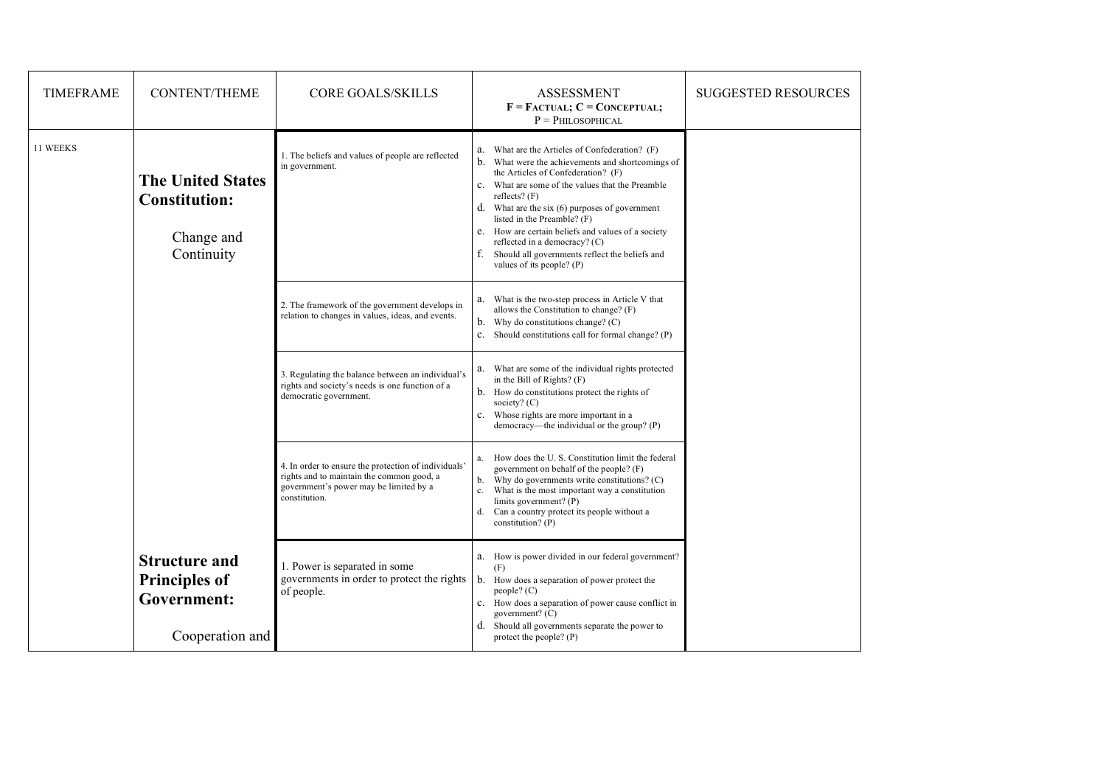

| <b>TIMEFRAME</b> | <b>CONTENT/THEME</b>                                                           | <b>CORE GOALS/SKILLS</b>                                                                                                                                     | <b>ASSESSMENT</b><br>$F =$ FACTUAL; $C =$ CONCEPTUAL;<br>$P =$ PHILOSOPHICAL                                                                                                                                                                                                                                                                                                                                                                                                 | <b>SUGGESTED RESOURC</b> |
|------------------|--------------------------------------------------------------------------------|--------------------------------------------------------------------------------------------------------------------------------------------------------------|------------------------------------------------------------------------------------------------------------------------------------------------------------------------------------------------------------------------------------------------------------------------------------------------------------------------------------------------------------------------------------------------------------------------------------------------------------------------------|--------------------------|
| 11 WEEKS         | <b>The United States</b><br><b>Constitution:</b><br>Change and<br>Continuity   | 1. The beliefs and values of people are reflected<br>in government.                                                                                          | What are the Articles of Confederation? (F)<br>a.<br>b. What were the achievements and shortcomings of<br>the Articles of Confederation? (F)<br>c. What are some of the values that the Preamble<br>reflects? $(F)$<br>d. What are the six $(6)$ purposes of government<br>listed in the Preamble? (F)<br>e. How are certain beliefs and values of a society<br>reflected in a democracy? (C)<br>Should all governments reflect the beliefs and<br>values of its people? (P) |                          |
|                  |                                                                                | 2. The framework of the government develops in<br>relation to changes in values, ideas, and events.                                                          | a. What is the two-step process in Article V that<br>allows the Constitution to change? (F)<br>$b_{-}$<br>Why do constitutions change? (C)<br>Should constitutions call for formal change? (P)<br>$\mathbf{c}$ .                                                                                                                                                                                                                                                             |                          |
|                  |                                                                                | 3. Regulating the balance between an individual's<br>rights and society's needs is one function of a<br>democratic government.                               | a. What are some of the individual rights protected<br>in the Bill of Rights? (F)<br>b. How do constitutions protect the rights of<br>society? $(C)$<br>Whose rights are more important in a<br>$c_{\cdot}$<br>democracy—the individual or the group? (P)                                                                                                                                                                                                                    |                          |
|                  |                                                                                | 4. In order to ensure the protection of individuals'<br>rights and to maintain the common good, a<br>government's power may be limited by a<br>constitution. | a. How does the U.S. Constitution limit the federal<br>government on behalf of the people? (F)<br>b. Why do governments write constitutions? (C)<br>What is the most important way a constitution<br>limits government? (P)<br>d. Can a country protect its people without a<br>constitution? $(P)$                                                                                                                                                                          |                          |
|                  | <b>Structure and</b><br><b>Principles of</b><br>Government:<br>Cooperation and | 1. Power is separated in some<br>governments in order to protect the rights<br>of people.                                                                    | a. How is power divided in our federal government?<br>(F)<br>b. How does a separation of power protect the<br>people? $(C)$<br>c. How does a separation of power cause conflict in<br>government? $(C)$<br>d. Should all governments separate the power to<br>protect the people? $(P)$                                                                                                                                                                                      |                          |
|                  |                                                                                |                                                                                                                                                              |                                                                                                                                                                                                                                                                                                                                                                                                                                                                              |                          |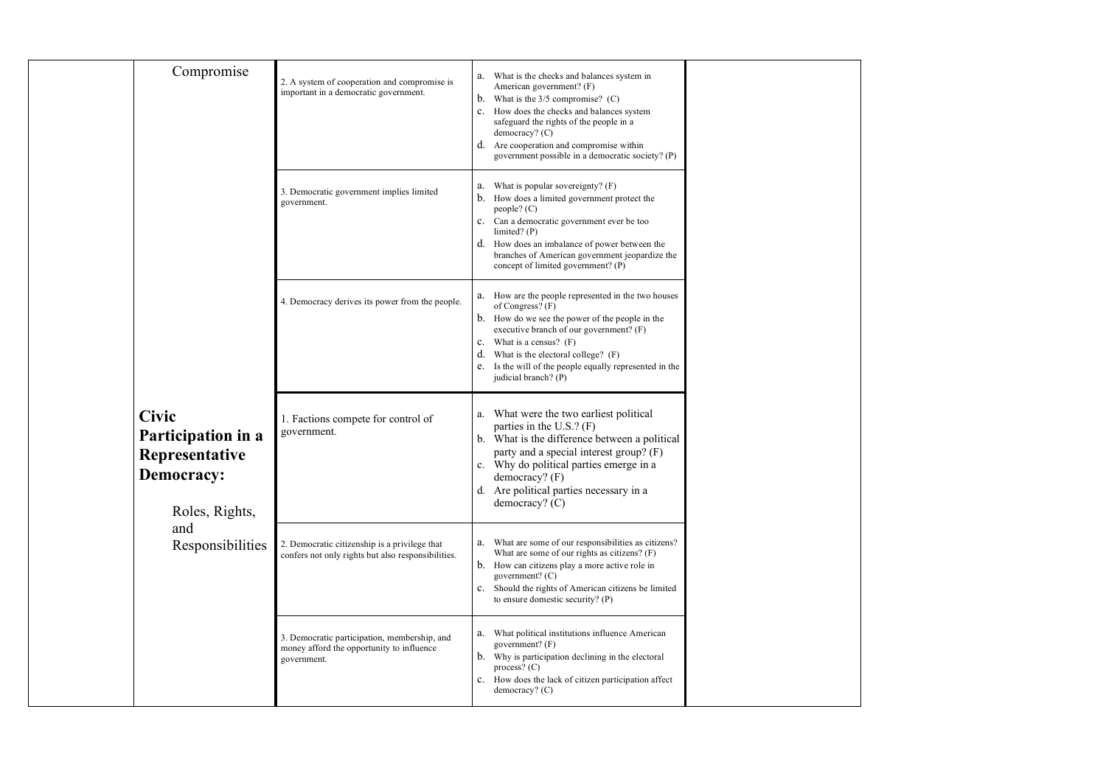| Compromise                                                                                  | 2. A system of cooperation and compromise is<br>important in a democratic government.                    | What is the checks and balances system in<br>a.<br>American government? (F)<br>What is the $3/5$ compromise? (C)<br>b.<br>How does the checks and balances system<br>$\mathbf{c}$ .<br>safeguard the rights of the people in a<br>democracy? (C)<br>Are cooperation and compromise within<br>d.<br>government possible in a democratic society? (P)     |  |
|---------------------------------------------------------------------------------------------|----------------------------------------------------------------------------------------------------------|---------------------------------------------------------------------------------------------------------------------------------------------------------------------------------------------------------------------------------------------------------------------------------------------------------------------------------------------------------|--|
|                                                                                             | 3. Democratic government implies limited<br>government.                                                  | What is popular sovereignty? $(F)$<br>a.<br>How does a limited government protect the<br>b.<br>people? $(C)$<br>Can a democratic government ever be too<br>$\mathbf{c}$ .<br>limited? $(P)$<br>How does an imbalance of power between the<br>d.<br>branches of American government jeopardize the<br>concept of limited government? (P)                 |  |
|                                                                                             | 4. Democracy derives its power from the people.                                                          | How are the people represented in the two houses<br>of Congress? (F)<br>How do we see the power of the people in the<br>$b_{\cdot}$<br>executive branch of our government? (F)<br>What is a census? $(F)$<br>$\mathbf{c}$ .<br>What is the electoral college? (F)<br>d.<br>Is the will of the people equally represented in the<br>judicial branch? (P) |  |
| <b>Civic</b><br><b>Participation in a</b><br>Representative<br>Democracy:<br>Roles, Rights, | 1. Factions compete for control of<br>government.                                                        | What were the two earliest political<br>a.<br>parties in the U.S.? $(F)$<br>What is the difference between a political<br>$b_{\cdot}$<br>party and a special interest group? (F)<br>c. Why do political parties emerge in a<br>democracy? (F)<br>d. Are political parties necessary in a<br>$democracy?$ (C)                                            |  |
| and<br><b>Responsibilities</b>                                                              | 2. Democratic citizenship is a privilege that<br>confers not only rights but also responsibilities.      | What are some of our responsibilities as citizens?<br>a.<br>What are some of our rights as citizens? (F)<br>b. How can citizens play a more active role in<br>government? $(C)$<br>Should the rights of American citizens be limited<br>$\mathbf{c}$ .<br>to ensure domestic security? (P)                                                              |  |
|                                                                                             | 3. Democratic participation, membership, and<br>money afford the opportunity to influence<br>government. | What political institutions influence American<br>government? (F)<br>Why is participation declining in the electoral<br>b.<br>process? (C)<br>How does the lack of citizen participation affect<br>$\mathbf{c}$ .<br>democracy? (C)                                                                                                                     |  |

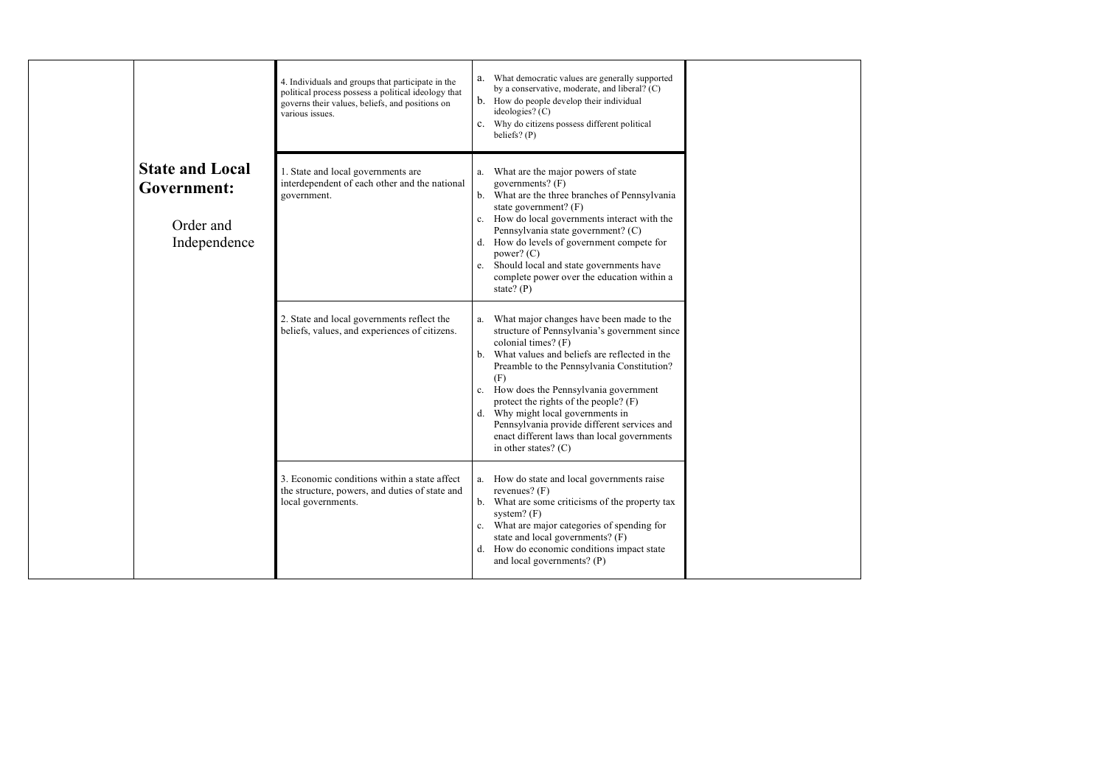|                                                                    | 4. Individuals and groups that participate in the<br>political process possess a political ideology that<br>governs their values, beliefs, and positions on<br>various issues. | a. What democratic values are generally supported<br>by a conservative, moderate, and liberal? (C)<br>b. How do people develop their individual<br>ideologies? $(C)$<br>c. Why do citizens possess different political<br>beliefs? (P)                                                                                                                                                                                                                                        |
|--------------------------------------------------------------------|--------------------------------------------------------------------------------------------------------------------------------------------------------------------------------|-------------------------------------------------------------------------------------------------------------------------------------------------------------------------------------------------------------------------------------------------------------------------------------------------------------------------------------------------------------------------------------------------------------------------------------------------------------------------------|
| <b>State and Local</b><br>Government:<br>Order and<br>Independence | 1. State and local governments are<br>interdependent of each other and the national<br>government.                                                                             | a. What are the major powers of state<br>governments? $(F)$<br>b. What are the three branches of Pennsylvania<br>state government? (F)<br>c. How do local governments interact with the<br>Pennsylvania state government? (C)<br>d. How do levels of government compete for<br>power? $(C)$<br>Should local and state governments have<br>e.<br>complete power over the education within a<br>state? $(P)$                                                                    |
|                                                                    | 2. State and local governments reflect the<br>beliefs, values, and experiences of citizens.                                                                                    | a. What major changes have been made to the<br>structure of Pennsylvania's government since<br>colonial times? (F)<br>b. What values and beliefs are reflected in the<br>Preamble to the Pennsylvania Constitution?<br>(F)<br>c. How does the Pennsylvania government<br>protect the rights of the people? $(F)$<br>d. Why might local governments in<br>Pennsylvania provide different services and<br>enact different laws than local governments<br>in other states? $(C)$ |
|                                                                    | 3. Economic conditions within a state affect<br>the structure, powers, and duties of state and<br>local governments.                                                           | a. How do state and local governments raise<br>revenues? $(F)$<br>b. What are some criticisms of the property tax<br>system? $(F)$<br>c. What are major categories of spending for<br>state and local governments? (F)<br>d. How do economic conditions impact state<br>and local governments? (P)                                                                                                                                                                            |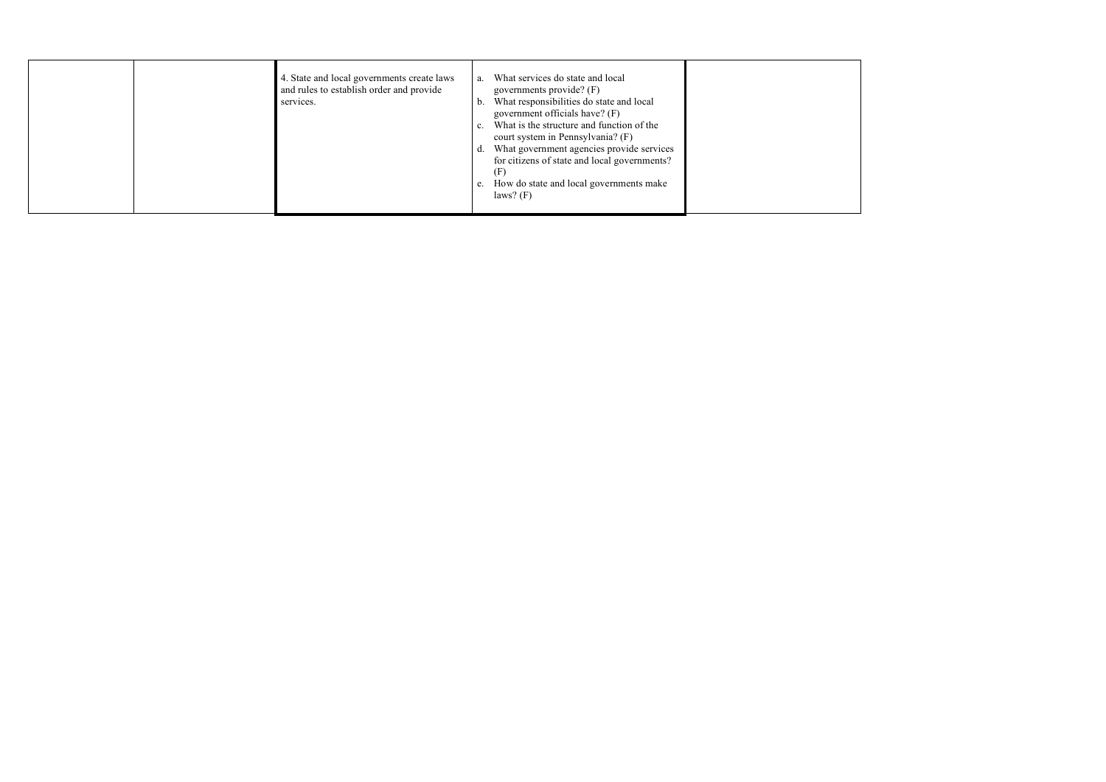|  | 4. State and local governments create laws<br>and rules to establish order and provide<br>services. | What services do state and local<br>a.<br>governments provide? (F)<br>What responsibilities do state and local<br>$\mathfrak{b}.$<br>government officials have? (F)<br>c. What is the structure and function of the<br>court system in Pennsylvania? (F)<br>d. What government agencies provide services<br>for citizens of state and local governments?<br>e. How do state and local governments make<br>laws? (F) |  |
|--|-----------------------------------------------------------------------------------------------------|---------------------------------------------------------------------------------------------------------------------------------------------------------------------------------------------------------------------------------------------------------------------------------------------------------------------------------------------------------------------------------------------------------------------|--|
|--|-----------------------------------------------------------------------------------------------------|---------------------------------------------------------------------------------------------------------------------------------------------------------------------------------------------------------------------------------------------------------------------------------------------------------------------------------------------------------------------------------------------------------------------|--|

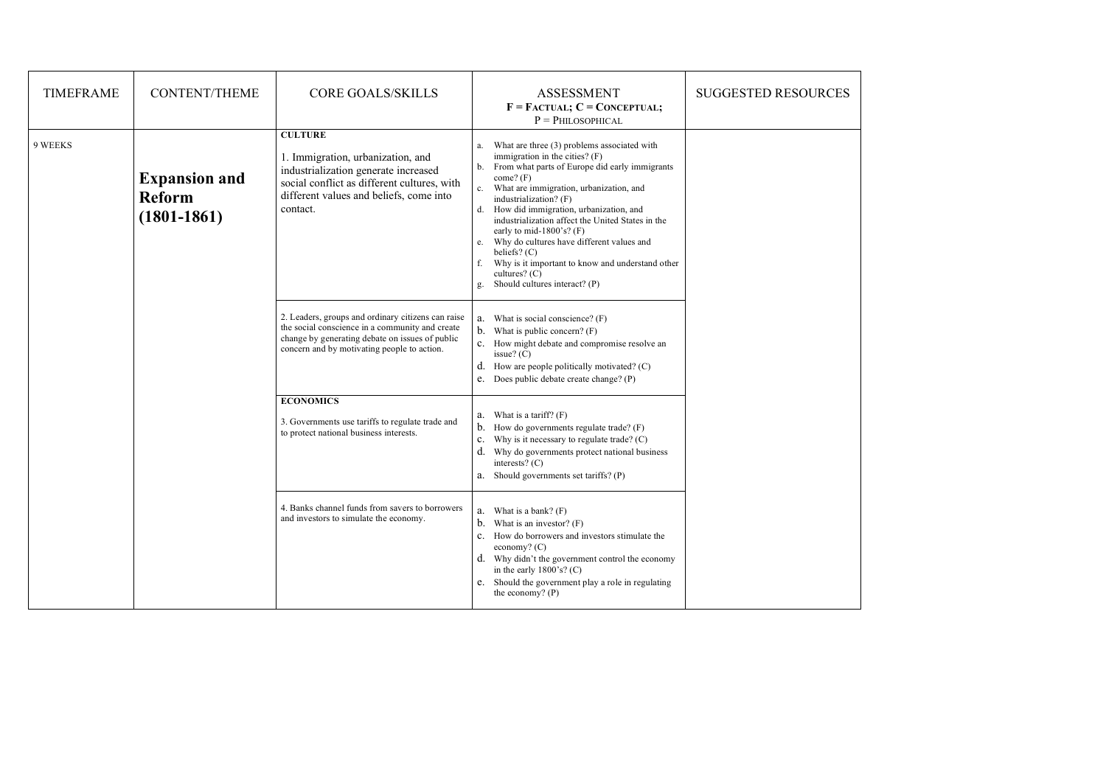

| <b>TIMEFRAME</b> | <b>CONTENT/THEME</b>                                     | <b>CORE GOALS/SKILLS</b>                                                                                                                                                                                | <b>ASSESSMENT</b><br>$F =$ FACTUAL; $C =$ CONCEPTUAL;<br>$P =$ PHILOSOPHICAL                                                                                                                                                                                                                                                                                                                                                                                                                                                                                | <b>SUGGESTED RESOURC</b> |
|------------------|----------------------------------------------------------|---------------------------------------------------------------------------------------------------------------------------------------------------------------------------------------------------------|-------------------------------------------------------------------------------------------------------------------------------------------------------------------------------------------------------------------------------------------------------------------------------------------------------------------------------------------------------------------------------------------------------------------------------------------------------------------------------------------------------------------------------------------------------------|--------------------------|
| 9 WEEKS          | <b>Expansion and</b><br><b>Reform</b><br>$(1801 - 1861)$ | <b>CULTURE</b><br>1. Immigration, urbanization, and<br>industrialization generate increased<br>social conflict as different cultures, with<br>different values and beliefs, come into<br>contact.       | What are three (3) problems associated with<br>a.<br>immigration in the cities? $(F)$<br>From what parts of Europe did early immigrants<br>come? (F)<br>What are immigration, urbanization, and<br>$\mathbf{c}.$<br>industrialization? (F)<br>d. How did immigration, urbanization, and<br>industrialization affect the United States in the<br>early to mid-1800's? (F)<br>Why do cultures have different values and<br>e.<br>beliefs? $(C)$<br>Why is it important to know and understand other<br>cultures? $(C)$<br>Should cultures interact? (P)<br>g. |                          |
|                  |                                                          | 2. Leaders, groups and ordinary citizens can raise<br>the social conscience in a community and create<br>change by generating debate on issues of public<br>concern and by motivating people to action. | What is social conscience? (F)<br>a.<br>b.<br>What is public concern? $(F)$<br>c. How might debate and compromise resolve an<br>issue? $(C)$<br>d. How are people politically motivated? $(C)$<br>e. Does public debate create change? (P)                                                                                                                                                                                                                                                                                                                  |                          |
|                  |                                                          | <b>ECONOMICS</b><br>3. Governments use tariffs to regulate trade and<br>to protect national business interests.                                                                                         | a. What is a tariff? $(F)$<br>b. How do governments regulate trade? (F)<br>Why is it necessary to regulate trade? (C)<br>$\mathbf{c}$ .<br>d. Why do governments protect national business<br>interests? $(C)$<br>a. Should governments set tariffs? (P)                                                                                                                                                                                                                                                                                                    |                          |
|                  |                                                          | 4. Banks channel funds from savers to borrowers<br>and investors to simulate the economy.                                                                                                               | a. What is a bank? $(F)$<br>b.<br>What is an investor? $(F)$<br>How do borrowers and investors stimulate the<br>$\mathbf{c}$ .<br>economy? $(C)$<br>d. Why didn't the government control the economy<br>in the early $1800$ 's? (C)<br>e. Should the government play a role in regulating<br>the economy? $(P)$                                                                                                                                                                                                                                             |                          |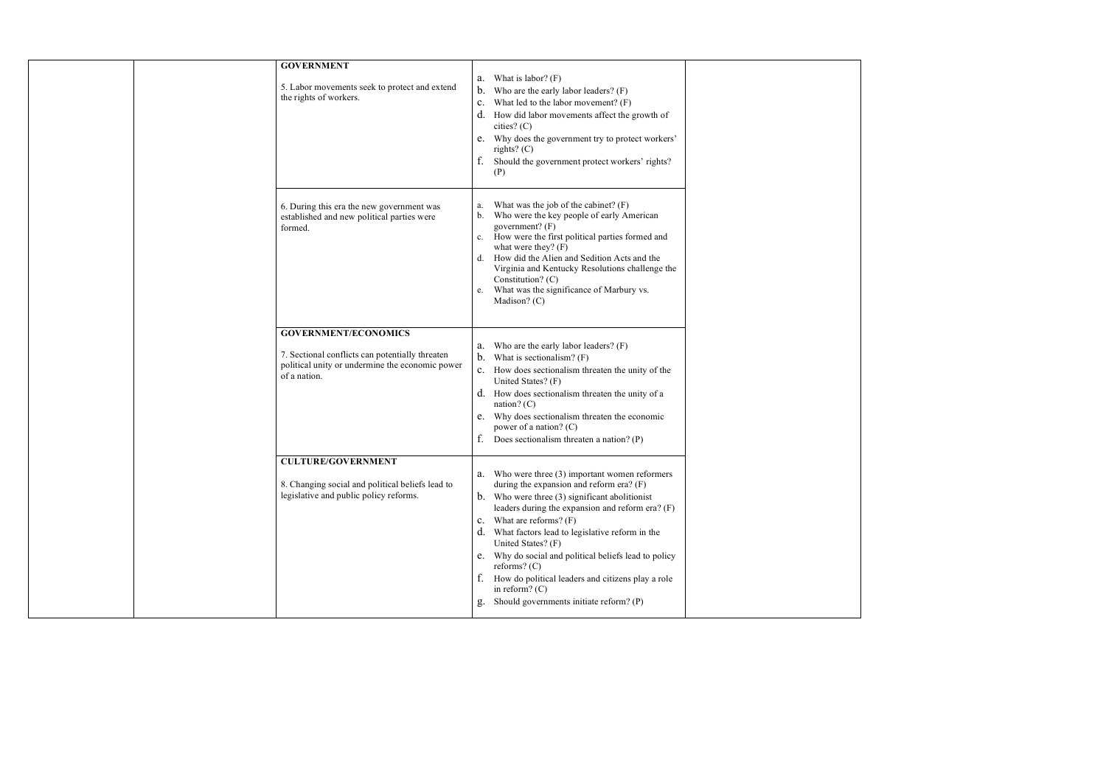| <b>GOVERNMENT</b><br>5. Labor movements seek to protect and extend<br>the rights of workers.                                                      | a. What is labor? $(F)$<br>Who are the early labor leaders? (F)<br>$\mathbf{b}$ .<br>What led to the labor movement? (F)<br>c.<br>d. How did labor movements affect the growth of<br>cities? (C)<br>Why does the government try to protect workers'<br>e.<br>rights? $(C)$<br>f.<br>Should the government protect workers' rights?<br>(P)                                                                                                                                                                            |  |
|---------------------------------------------------------------------------------------------------------------------------------------------------|----------------------------------------------------------------------------------------------------------------------------------------------------------------------------------------------------------------------------------------------------------------------------------------------------------------------------------------------------------------------------------------------------------------------------------------------------------------------------------------------------------------------|--|
| 6. During this era the new government was<br>established and new political parties were<br>formed.                                                | What was the job of the cabinet? $(F)$<br>a.<br>Who were the key people of early American<br>b.<br>government? $(F)$<br>How were the first political parties formed and<br>$c_{-}$<br>what were they? $(F)$<br>How did the Alien and Sedition Acts and the<br>$d_{\cdot}$<br>Virginia and Kentucky Resolutions challenge the<br>Constitution? (C)<br>What was the significance of Marbury vs.<br>e.<br>Madison? (C)                                                                                                  |  |
| <b>GOVERNMENT/ECONOMICS</b><br>7. Sectional conflicts can potentially threaten<br>political unity or undermine the economic power<br>of a nation. | Who are the early labor leaders? (F)<br>a.<br>What is sectionalism? (F)<br>$\mathbf{b}$ .<br>c. How does sectionalism threaten the unity of the<br>United States? (F)<br>d. How does sectionalism threaten the unity of a<br>nation? $(C)$<br>e. Why does sectionalism threaten the economic<br>power of a nation? (C)<br>f. Does sectionalism threaten a nation? $(P)$                                                                                                                                              |  |
| <b>CULTURE/GOVERNMENT</b><br>8. Changing social and political beliefs lead to<br>legislative and public policy reforms.                           | a. Who were three (3) important women reformers<br>during the expansion and reform era? $(F)$<br>b. Who were three (3) significant abolitionist<br>leaders during the expansion and reform era? (F)<br>What are reforms? $(F)$<br>c.<br>d. What factors lead to legislative reform in the<br>United States? (F)<br>e. Why do social and political beliefs lead to policy<br>reforms? $(C)$<br>How do political leaders and citizens play a role<br>in reform? $(C)$<br>Should governments initiate reform? (P)<br>g. |  |

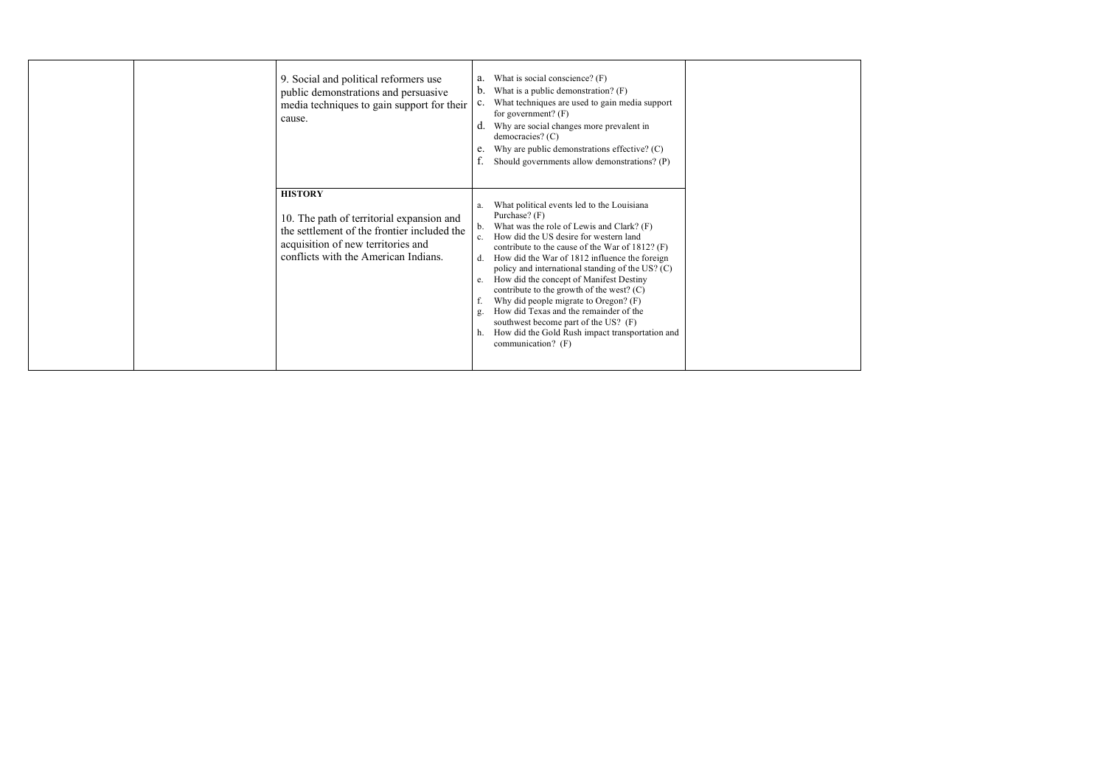| 9. Social and political reformers use<br>public demonstrations and persuasive<br>media techniques to gain support for their<br>cause.                                                    | a.<br>b.<br>$\mathbf{c}$ .<br>d.<br>e.               | What is social conscience? $(F)$<br>What is a public demonstration? $(F)$<br>What techniques are used to gain media support<br>for government? $(F)$<br>Why are social changes more prevalent in<br>democracies? (C)<br>Why are public demonstrations effective? (C)<br>Should governments allow demonstrations? (P)                                                                                                                                                                                                                                                                                          |  |
|------------------------------------------------------------------------------------------------------------------------------------------------------------------------------------------|------------------------------------------------------|---------------------------------------------------------------------------------------------------------------------------------------------------------------------------------------------------------------------------------------------------------------------------------------------------------------------------------------------------------------------------------------------------------------------------------------------------------------------------------------------------------------------------------------------------------------------------------------------------------------|--|
| <b>HISTORY</b><br>10. The path of territorial expansion and<br>the settlement of the frontier included the<br>acquisition of new territories and<br>conflicts with the American Indians. | a.<br>$\mathbf b$ .<br>$\mathbf{c}$ .<br>$d_{\cdot}$ | What political events led to the Louisiana<br>Purchase? $(F)$<br>What was the role of Lewis and Clark? (F)<br>How did the US desire for western land<br>contribute to the cause of the War of $1812$ ? (F)<br>How did the War of 1812 influence the foreign<br>policy and international standing of the US? (C)<br>How did the concept of Manifest Destiny<br>contribute to the growth of the west? $(C)$<br>Why did people migrate to Oregon? (F)<br>How did Texas and the remainder of the<br>southwest become part of the US? (F)<br>How did the Gold Rush impact transportation and<br>communication? (F) |  |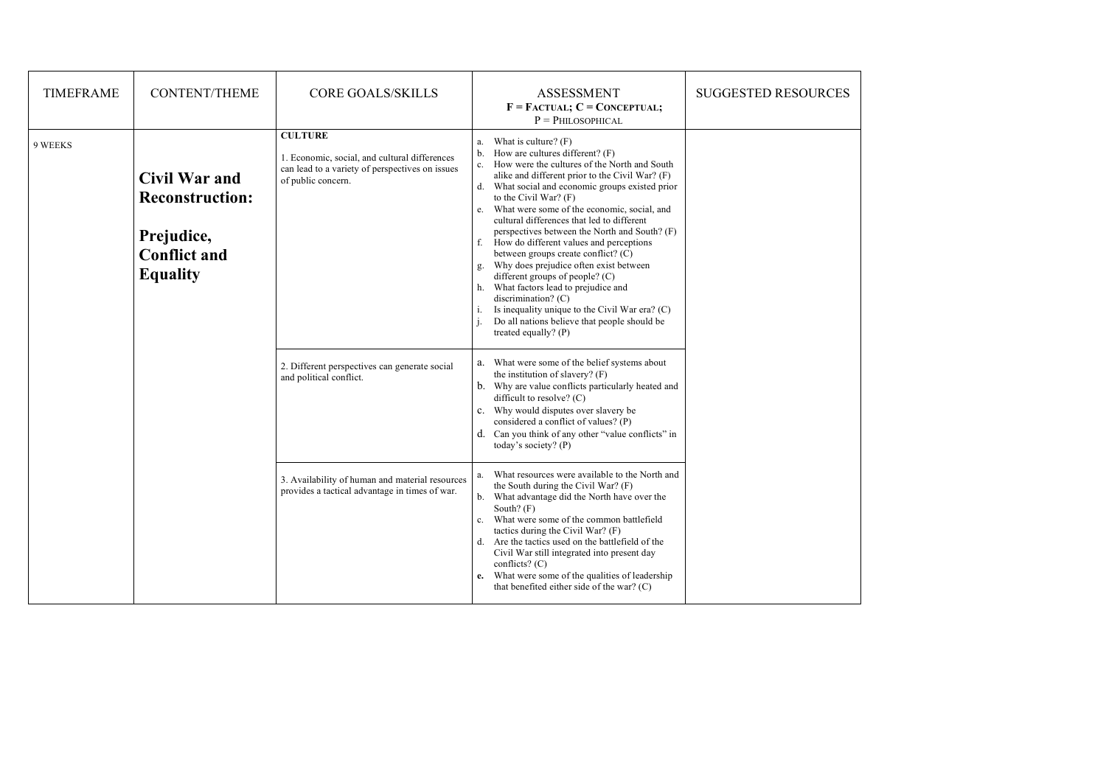

| <b>TIMEFRAME</b> | <b>CONTENT/THEME</b>                                                                                   | <b>CORE GOALS/SKILLS</b>                                                                                                                 | <b>ASSESSMENT</b><br>$F =$ FACTUAL; $C =$ CONCEPTUAL;<br>$P =$ PHILOSOPHICAL                                                                                                                                                                                                                                                                                                                                                                                                                                                                                                                                                                                                                                                                                                                      | <b>SUGGESTED RESOURC</b> |
|------------------|--------------------------------------------------------------------------------------------------------|------------------------------------------------------------------------------------------------------------------------------------------|---------------------------------------------------------------------------------------------------------------------------------------------------------------------------------------------------------------------------------------------------------------------------------------------------------------------------------------------------------------------------------------------------------------------------------------------------------------------------------------------------------------------------------------------------------------------------------------------------------------------------------------------------------------------------------------------------------------------------------------------------------------------------------------------------|--------------------------|
| 9 WEEKS          | <b>Civil War and</b><br><b>Reconstruction:</b><br>Prejudice,<br><b>Conflict and</b><br><b>Equality</b> | <b>CULTURE</b><br>1. Economic, social, and cultural differences<br>can lead to a variety of perspectives on issues<br>of public concern. | What is culture? $(F)$<br>a.<br>How are cultures different? $(F)$<br>$\mathbf b$<br>How were the cultures of the North and South<br>c.<br>alike and different prior to the Civil War? (F)<br>d. What social and economic groups existed prior<br>to the Civil War? $(F)$<br>e. What were some of the economic, social, and<br>cultural differences that led to different<br>perspectives between the North and South? (F)<br>f. How do different values and perceptions<br>between groups create conflict? (C)<br>Why does prejudice often exist between<br>g.<br>different groups of people? $(C)$<br>h. What factors lead to prejudice and<br>discrimination? $(C)$<br>Is inequality unique to the Civil War era? (C)<br>Do all nations believe that people should be<br>treated equally? $(P)$ |                          |
|                  |                                                                                                        | 2. Different perspectives can generate social<br>and political conflict.                                                                 | What were some of the belief systems about<br>a.<br>the institution of slavery? (F)<br>b. Why are value conflicts particularly heated and<br>difficult to resolve? $(C)$<br>c. Why would disputes over slavery be<br>considered a conflict of values? (P)<br>d. Can you think of any other "value conflicts" in<br>today's society? (P)                                                                                                                                                                                                                                                                                                                                                                                                                                                           |                          |
|                  |                                                                                                        | 3. Availability of human and material resources<br>provides a tactical advantage in times of war.                                        | What resources were available to the North and<br>a.<br>the South during the Civil War? (F)<br>What advantage did the North have over the<br>South? $(F)$<br>What were some of the common battlefield<br>c.<br>tactics during the Civil War? (F)<br>d. Are the tactics used on the battlefield of the<br>Civil War still integrated into present day<br>conflicts? $(C)$<br>e. What were some of the qualities of leadership<br>that benefited either side of the war? (C)                                                                                                                                                                                                                                                                                                                        |                          |